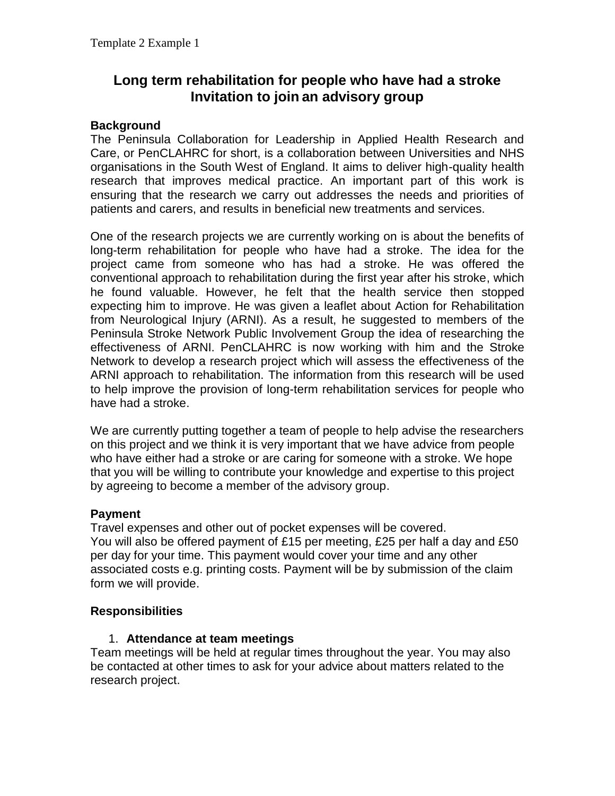# **Long term rehabilitation for people who have had a stroke Invitation to join an advisory group**

### **Background**

The Peninsula Collaboration for Leadership in Applied Health Research and Care, or PenCLAHRC for short, is a collaboration between Universities and NHS organisations in the South West of England. It aims to deliver high-quality health research that improves medical practice. An important part of this work is ensuring that the research we carry out addresses the needs and priorities of patients and carers, and results in beneficial new treatments and services.

One of the research projects we are currently working on is about the benefits of long-term rehabilitation for people who have had a stroke. The idea for the project came from someone who has had a stroke. He was offered the conventional approach to rehabilitation during the first year after his stroke, which he found valuable. However, he felt that the health service then stopped expecting him to improve. He was given a leaflet about Action for Rehabilitation from Neurological Injury (ARNI). As a result, he suggested to members of the Peninsula Stroke Network Public Involvement Group the idea of researching the effectiveness of ARNI. PenCLAHRC is now working with him and the Stroke Network to develop a research project which will assess the effectiveness of the ARNI approach to rehabilitation. The information from this research will be used to help improve the provision of long-term rehabilitation services for people who have had a stroke.

We are currently putting together a team of people to help advise the researchers on this project and we think it is very important that we have advice from people who have either had a stroke or are caring for someone with a stroke. We hope that you will be willing to contribute your knowledge and expertise to this project by agreeing to become a member of the advisory group.

### **Payment**

Travel expenses and other out of pocket expenses will be covered. You will also be offered payment of £15 per meeting, £25 per half a day and £50 per day for your time. This payment would cover your time and any other associated costs e.g. printing costs. Payment will be by submission of the claim form we will provide.

### **Responsibilities**

#### 1. **Attendance at team meetings**

Team meetings will be held at regular times throughout the year. You may also be contacted at other times to ask for your advice about matters related to the research project.